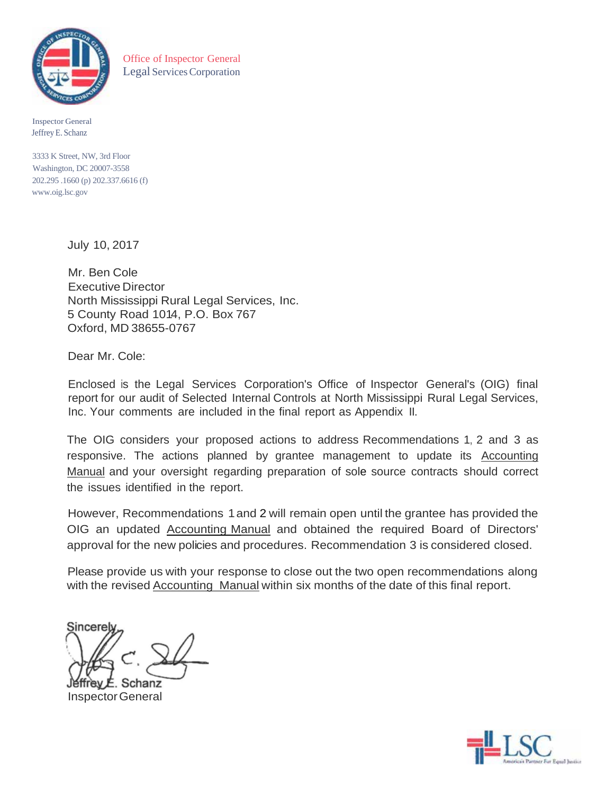

Office of Inspector General Legal Services Corporation

Inspector General Jeffrey E. Schanz

3333 K Street, NW, 3rd Floor Washington, DC 20007-3558 202.295 .1660 (p) 202.337.6616 (f) [www.oig.lsc.gov](http://www.oig.lsc.gov/)

July 10, 2017

Mr. Ben Cole Executive Director North Mississippi Rural Legal Services, Inc. 5 County Road 1014, P.O. Box 767 Oxford, MD 38655-0767

Dear Mr. Cole:

Enclosed is the Legal Services Corporation's Office of Inspector General's (OIG) final report for our audit of Selected Internal Controls at North Mississippi Rural Legal Services, Inc. Your comments are included in the final report as Appendix II.

The OIG considers your proposed actions to address Recommendations 1, 2 and 3 as responsive. The actions planned by grantee management to update its Accounting Manual and your oversight regarding preparation of sole source contracts should correct the issues identified in the report.

However, Recommendations 1and 2 will remain open until the grantee has provided the OIG an updated Accounting Manual and obtained the required Board of Directors' approval for the new policies and procedures. Recommendation 3 is considered closed.

Please provide us with your response to close out the two open recommendations along with the revised Accounting Manual within six months of the date of this final report.

Sincere

Schanz InspectorGeneral

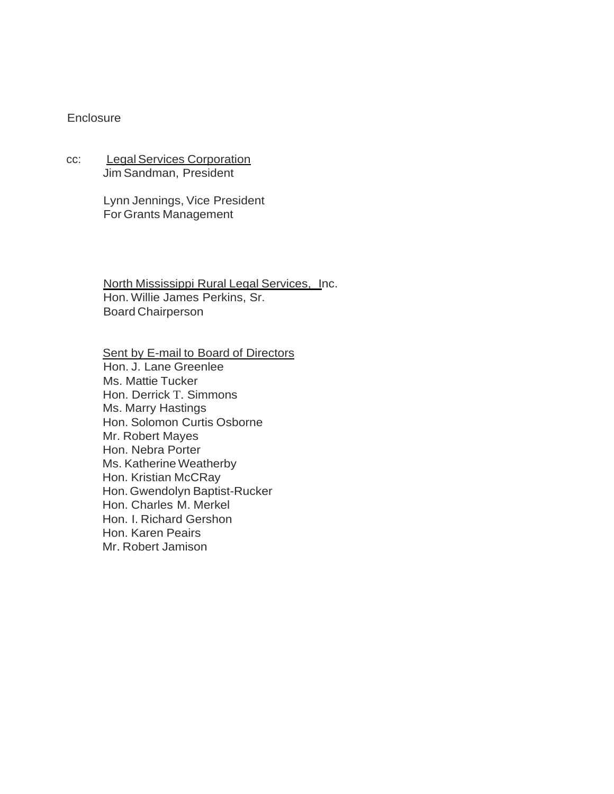#### **Enclosure**

cc: Legal Services Corporation Jim Sandman, President

> Lynn Jennings, Vice President For Grants Management

North Mississippi Rural Legal Services, Inc. Hon. Willie James Perkins, Sr. Board Chairperson

Sent by E-mail to Board of Directors Hon. J. Lane Greenlee Ms. Mattie Tucker Hon. Derrick T. Simmons Ms. Marry Hastings Hon. Solomon Curtis Osborne Mr. Robert Mayes Hon. Nebra Porter Ms. Katherine Weatherby Hon. Kristian McCRay Hon.Gwendolyn Baptist-Rucker Hon. Charles M. Merkel Hon. I. Richard Gershon Hon. Karen Peairs Mr. Robert Jamison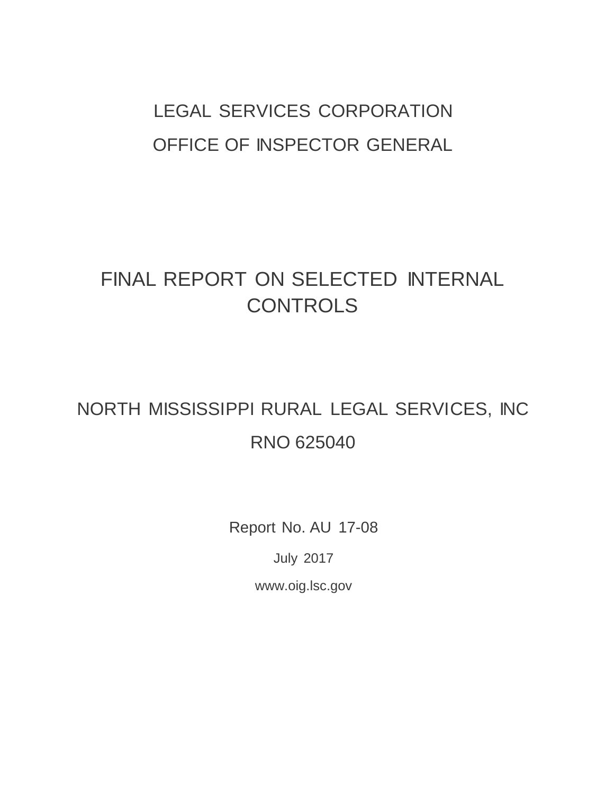# LEGAL SERVICES CORPORATION OFFICE OF INSPECTOR GENERAL

# FINAL REPORT ON SELECTED INTERNAL **CONTROLS**

# NORTH MISSISSIPPI RURAL LEGAL SERVICES, INC RNO 625040

Report No. AU 17-08

July 2017

[www.oig.lsc.gov](http://www.oig.lsc.gov/)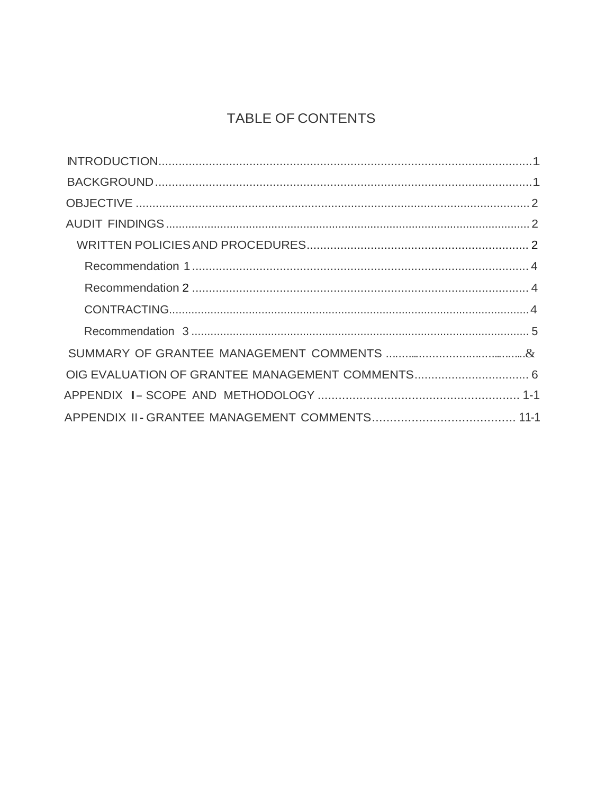# TABLE OF CONTENTS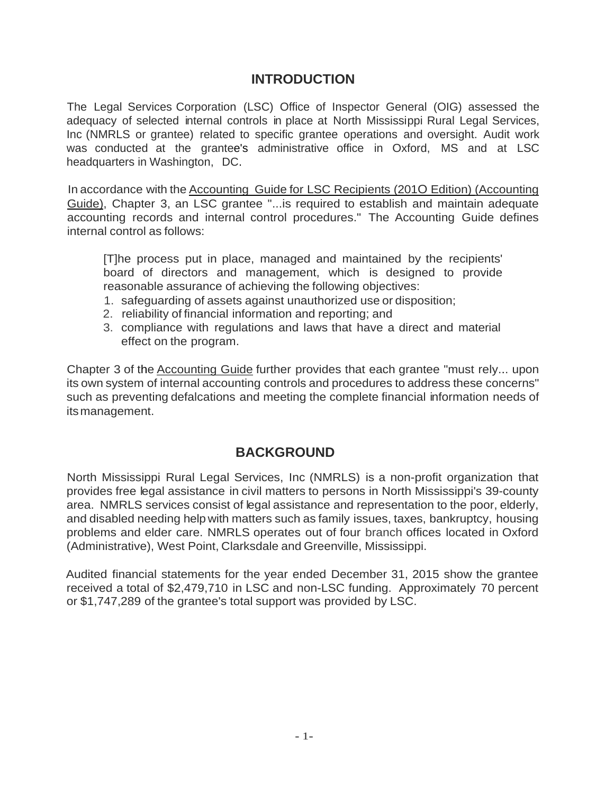## **INTRODUCTION**

<span id="page-4-0"></span>The Legal Services Corporation (LSC) Office of Inspector General (OIG) assessed the adequacy of selected internal controls in place at North Mississippi Rural Legal Services, Inc (NMRLS or grantee) related to specific grantee operations and oversight. Audit work was conducted at the grantee's administrative office in Oxford, MS and at LSC headquarters in Washington, DC.

In accordance with the Accounting Guide for LSC Recipients (201O Edition) (Accounting Guide), Chapter 3, an LSC grantee "...is required to establish and maintain adequate accounting records and internal control procedures." The Accounting Guide defines internal control as follows:

[T]he process put in place, managed and maintained by the recipients' board of directors and management, which is designed to provide reasonable assurance of achieving the following objectives:

- 1. safeguarding of assets against unauthorized use or disposition;
- 2. reliability of financial information and reporting; and
- 3. compliance with regulations and laws that have a direct and material effect on the program.

Chapter 3 of the Accounting Guide further provides that each grantee "must rely... upon its own system of internal accounting controls and procedures to address these concerns" such as preventing defalcations and meeting the complete financial information needs of itsmanagement.

## **BACKGROUND**

<span id="page-4-1"></span>North Mississippi Rural Legal Services, Inc (NMRLS) is a non-profit organization that provides free legal assistance in civil matters to persons in North Mississippi's 39-county area. NMRLS services consist of legal assistance and representation to the poor, elderly, and disabled needing help with matters such as family issues, taxes, bankruptcy, housing problems and elder care. NMRLS operates out of four branch offices located in Oxford (Administrative), West Point, Clarksdale and Greenville, Mississippi.

Audited financial statements for the year ended December 31, 2015 show the grantee received a total of \$2,479,710 in LSC and non-LSC funding. Approximately 70 percent or \$1,747,289 of the grantee's total support was provided by LSC.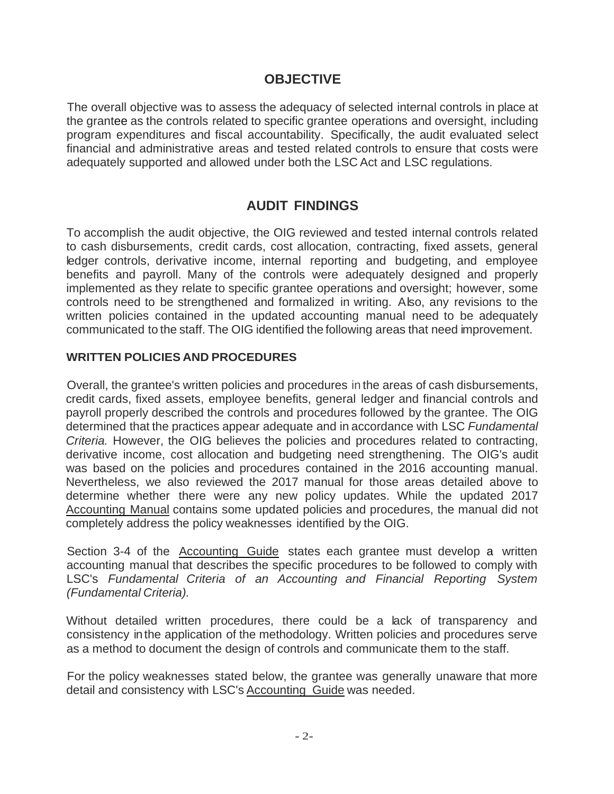## **OBJECTIVE**

<span id="page-5-0"></span>The overall objective was to assess the adequacy of selected internal controls in place at the grantee as the controls related to specific grantee operations and oversight, including program expenditures and fiscal accountability. Specifically, the audit evaluated select financial and administrative areas and tested related controls to ensure that costs were adequately supported and allowed under both the LSC Act and LSC regulations.

## **AUDIT FINDINGS**

<span id="page-5-1"></span>To accomplish the audit objective, the OIG reviewed and tested internal controls related to cash disbursements, credit cards, cost allocation, contracting, fixed assets, general ledger controls, derivative income, internal reporting and budgeting, and employee benefits and payroll. Many of the controls were adequately designed and properly implemented as they relate to specific grantee operations and oversight; however, some controls need to be strengthened and formalized in writing. Also, any revisions to the written policies contained in the updated accounting manual need to be adequately communicated to the staff. The OIG identified the following areas that need improvement.

## **WRITTEN POLICIES AND PROCEDURES**

Overall, the grantee's written policies and procedures in the areas of cash disbursements, credit cards, fixed assets, employee benefits, general ledger and financial controls and payroll properly described the controls and procedures followed by the grantee. The OIG determined that the practices appear adequate and in accordance with LSC *Fundamental Criteria.* However, the OIG believes the policies and procedures related to contracting, derivative income, cost allocation and budgeting need strengthening. The OIG's audit was based on the policies and procedures contained in the 2016 accounting manual. Nevertheless, we also reviewed the 2017 manual for those areas detailed above to determine whether there were any new policy updates. While the updated 2017 Accounting Manual contains some updated policies and procedures, the manual did not completely address the policy weaknesses identified by the OIG.

Section 3-4 of the Accounting Guide states each grantee must develop a written accounting manual that describes the specific procedures to be followed to comply with LSC's *Fundamental Criteria of an Accounting and Financial Reporting System (Fundamental Criteria).*

Without detailed written procedures, there could be a lack of transparency and consistency inthe application of the methodology. Written policies and procedures serve as a method to document the design of controls and communicate them to the staff.

For the policy weaknesses stated below, the grantee was generally unaware that more detail and consistency with LSC's Accounting Guide was needed.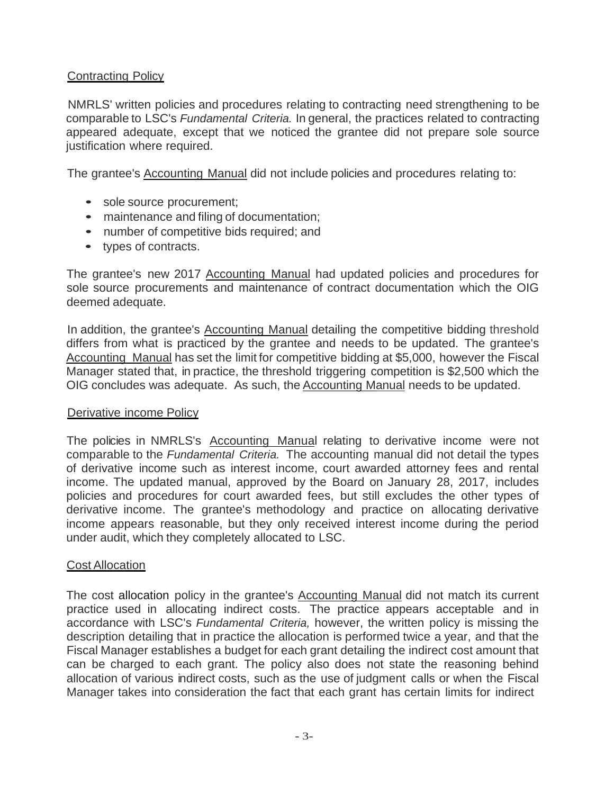## **Contracting Policy**

NMRLS' written policies and procedures relating to contracting need strengthening to be comparable to LSC's *Fundamental Criteria.* In general, the practices related to contracting appeared adequate, except that we noticed the grantee did not prepare sole source justification where required.

The grantee's Accounting Manual did not include policies and procedures relating to:

- sole source procurement;
- maintenance and filing of documentation;
- number of competitive bids required; and
- types of contracts.

The grantee's new 2017 Accounting Manual had updated policies and procedures for sole source procurements and maintenance of contract documentation which the OIG deemed adequate.

In addition, the grantee's Accounting Manual detailing the competitive bidding threshold differs from what is practiced by the grantee and needs to be updated. The grantee's Accounting Manual has set the limit for competitive bidding at \$5,000, however the Fiscal Manager stated that, in practice, the threshold triggering competition is \$2,500 which the OIG concludes was adequate. As such, the Accounting Manual needs to be updated.

## Derivative income Policy

The policies in NMRLS's Accounting Manual relating to derivative income were not comparable to the *Fundamental Criteria.* The accounting manual did not detail the types of derivative income such as interest income, court awarded attorney fees and rental income. The updated manual, approved by the Board on January 28, 2017, includes policies and procedures for court awarded fees, but still excludes the other types of derivative income. The grantee's methodology and practice on allocating derivative income appears reasonable, but they only received interest income during the period under audit, which they completely allocated to LSC.

## Cost Allocation

The cost allocation policy in the grantee's Accounting Manual did not match its current practice used in allocating indirect costs. The practice appears acceptable and in accordance with LSC's *Fundamental Criteria,* however, the written policy is missing the description detailing that in practice the allocation is performed twice a year, and that the Fiscal Manager establishes a budget for each grant detailing the indirect cost amount that can be charged to each grant. The policy also does not state the reasoning behind allocation of various indirect costs, such as the use of judgment calls or when the Fiscal Manager takes into consideration the fact that each grant has certain limits for indirect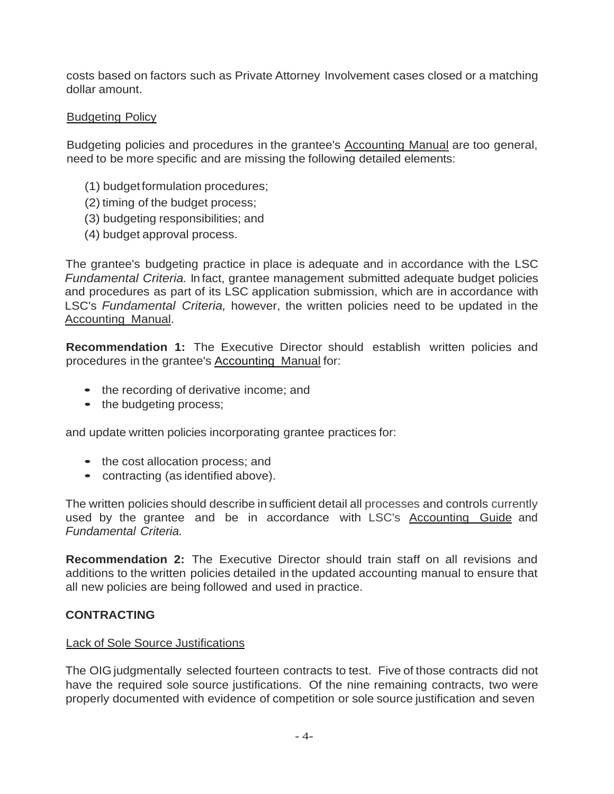costs based on factors such as Private Attorney Involvement cases closed or a matching dollar amount.

### Budgeting Policy

Budgeting policies and procedures in the grantee's Accounting Manual are too general, need to be more specific and are missing the following detailed elements:

- (1) budgetformulation procedures;
- (2) timing of the budget process;
- (3) budgeting responsibilities; and
- (4) budget approval process.

The grantee's budgeting practice in place is adequate and in accordance with the LSC *Fundamental Criteria.* In fact, grantee management submitted adequate budget policies and procedures as part of its LSC application submission, which are in accordance with LSC's *Fundamental Criteria,* however, the written policies need to be updated in the Accounting Manual.

**Recommendation 1:** The Executive Director should establish written policies and procedures in the grantee's Accounting Manual for:

- the recording of derivative income; and
- the budgeting process;

and update written policies incorporating grantee practices for:

- the cost allocation process; and
- contracting (as identified above).

The written policies should describe in sufficient detail all processes and controls currently used by the grantee and be in accordance with LSC's Accounting Guide and *Fundamental Criteria.*

**Recommendation 2:** The Executive Director should train staff on all revisions and additions to the written policies detailed in the updated accounting manual to ensure that all new policies are being followed and used in practice.

## **CONTRACTING**

## Lack of Sole Source Justifications

The OIG judgmentally selected fourteen contracts to test. Five of those contracts did not have the required sole source justifications. Of the nine remaining contracts, two were properly documented with evidence of competition or sole source justification and seven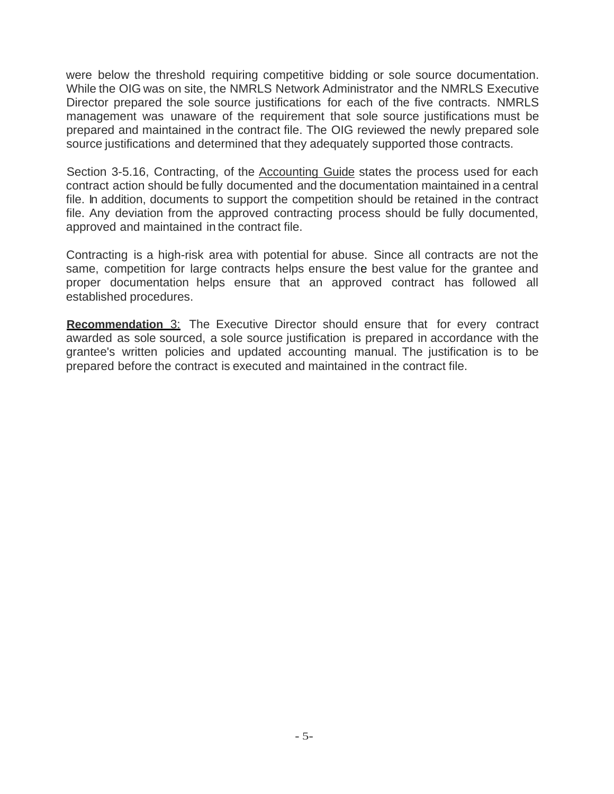were below the threshold requiring competitive bidding or sole source documentation. While the OIG was on site, the NMRLS Network Administrator and the NMRLS Executive Director prepared the sole source justifications for each of the five contracts. NMRLS management was unaware of the requirement that sole source justifications must be prepared and maintained in the contract file. The OIG reviewed the newly prepared sole source justifications and determined that they adequately supported those contracts.

Section 3-5.16, Contracting, of the Accounting Guide states the process used for each contract action should be fully documented and the documentation maintained in a central file. In addition, documents to support the competition should be retained in the contract file. Any deviation from the approved contracting process should be fully documented, approved and maintained in the contract file.

Contracting is a high-risk area with potential for abuse. Since all contracts are not the same, competition for large contracts helps ensure the best value for the grantee and proper documentation helps ensure that an approved contract has followed all established procedures.

**Recommendation** 3: The Executive Director should ensure that for every contract awarded as sole sourced, a sole source justification is prepared in accordance with the grantee's written policies and updated accounting manual. The justification is to be prepared before the contract is executed and maintained in the contract file.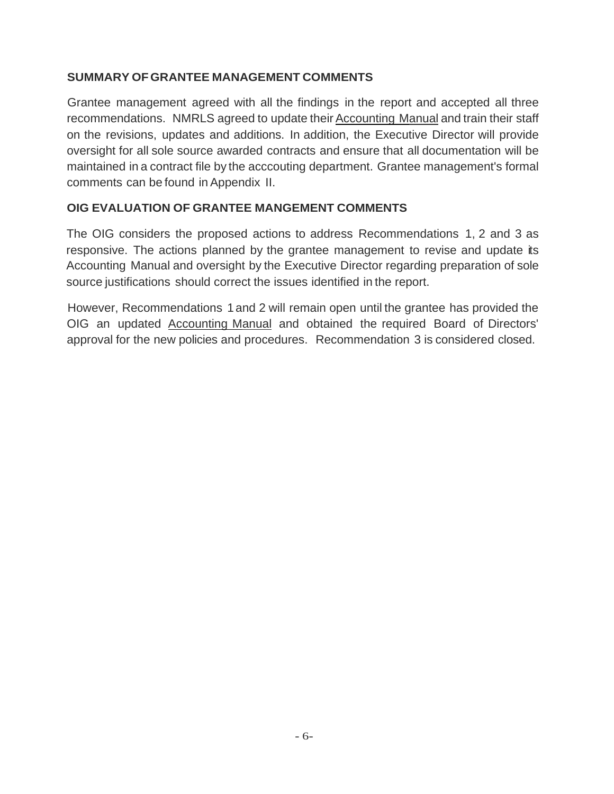## **SUMMARY OFGRANTEE MANAGEMENT COMMENTS**

Grantee management agreed with all the findings in the report and accepted all three recommendations. NMRLS agreed to update their Accounting Manual and train their staff on the revisions, updates and additions. In addition, the Executive Director will provide oversight for all sole source awarded contracts and ensure that all documentation will be maintained in a contract file by the acccouting department. Grantee management's formal comments can be found in Appendix II.

## **OIG EVALUATION OF GRANTEE MANGEMENT COMMENTS**

The OIG considers the proposed actions to address Recommendations 1, 2 and 3 as responsive. The actions planned by the grantee management to revise and update its Accounting Manual and oversight by the Executive Director regarding preparation of sole source justifications should correct the issues identified in the report.

However, Recommendations 1 and 2 will remain open until the grantee has provided the OIG an updated Accounting Manual and obtained the required Board of Directors' approval for the new policies and procedures. Recommendation 3 is considered closed.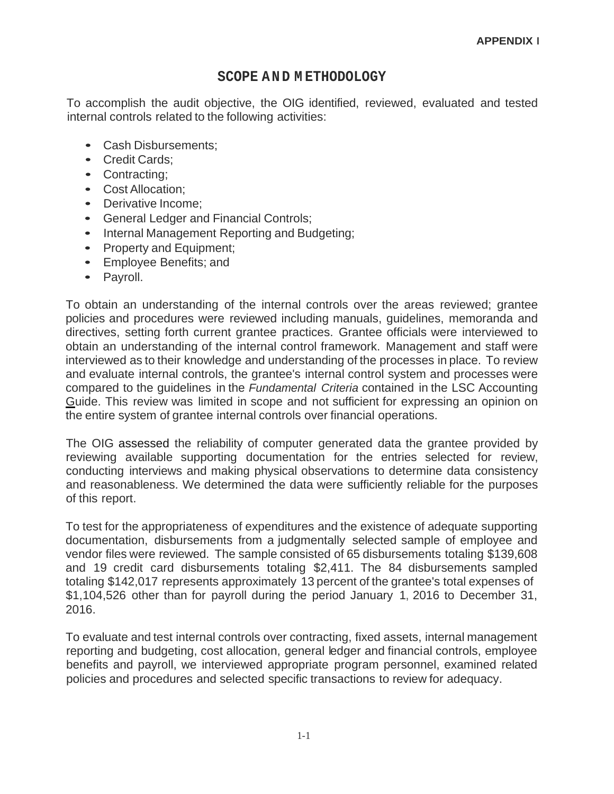## **SCOPE AND M ETHODOLOGY**

To accomplish the audit objective, the OIG identified, reviewed, evaluated and tested internal controls related to the following activities:

- Cash Disbursements:
- Credit Cards;
- Contracting;
- Cost Allocation;
- Derivative Income:
- General Ledger and Financial Controls;
- Internal Management Reporting and Budgeting;
- Property and Equipment;
- Employee Benefits; and
- Payroll.

To obtain an understanding of the internal controls over the areas reviewed; grantee policies and procedures were reviewed including manuals, guidelines, memoranda and directives, setting forth current grantee practices. Grantee officials were interviewed to obtain an understanding of the internal control framework. Management and staff were interviewed as to their knowledge and understanding of the processes in place. To review and evaluate internal controls, the grantee's internal control system and processes were compared to the guidelines in the *Fundamental Criteria* contained in the LSC Accounting Guide. This review was limited in scope and not sufficient for expressing an opinion on the entire system of grantee internal controls over financial operations.

The OIG assessed the reliability of computer generated data the grantee provided by reviewing available supporting documentation for the entries selected for review, conducting interviews and making physical observations to determine data consistency and reasonableness. We determined the data were sufficiently reliable for the purposes of this report.

To test for the appropriateness of expenditures and the existence of adequate supporting documentation, disbursements from a judgmentally selected sample of employee and vendor files were reviewed. The sample consisted of 65 disbursements totaling \$139,608 and 19 credit card disbursements totaling \$2,411. The 84 disbursements sampled totaling \$142,017 represents approximately 13 percent of the grantee's total expenses of \$1,104,526 other than for payroll during the period January 1, 2016 to December 31, 2016.

To evaluate and test internal controls over contracting, fixed assets, internal management reporting and budgeting, cost allocation, general ledger and financial controls, employee benefits and payroll, we interviewed appropriate program personnel, examined related policies and procedures and selected specific transactions to review for adequacy.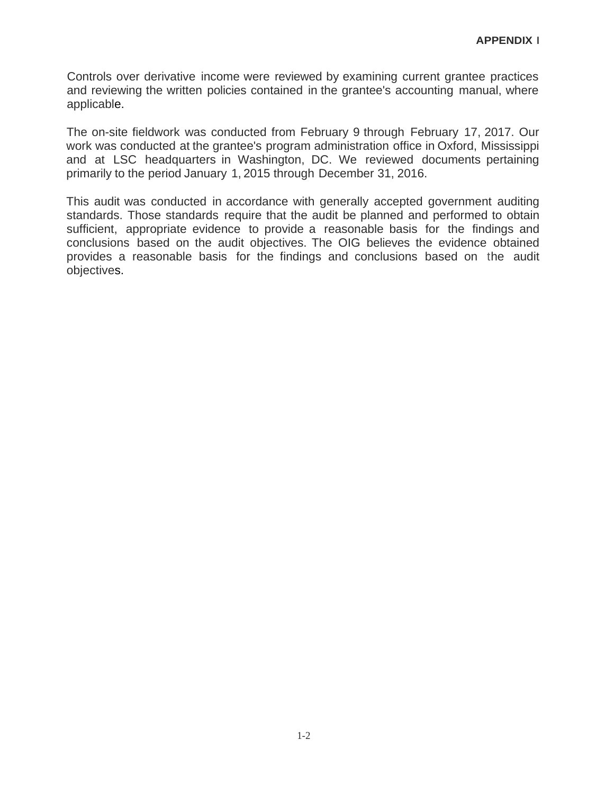Controls over derivative income were reviewed by examining current grantee practices and reviewing the written policies contained in the grantee's accounting manual, where applicable.

The on-site fieldwork was conducted from February 9 through February 17, 2017. Our work was conducted at the grantee's program administration office in Oxford, Mississippi and at LSC headquarters in Washington, DC. We reviewed documents pertaining primarily to the period January 1, 2015 through December 31, 2016.

This audit was conducted in accordance with generally accepted government auditing standards. Those standards require that the audit be planned and performed to obtain sufficient, appropriate evidence to provide a reasonable basis for the findings and conclusions based on the audit objectives. The OIG believes the evidence obtained provides a reasonable basis for the findings and conclusions based on the audit objectives.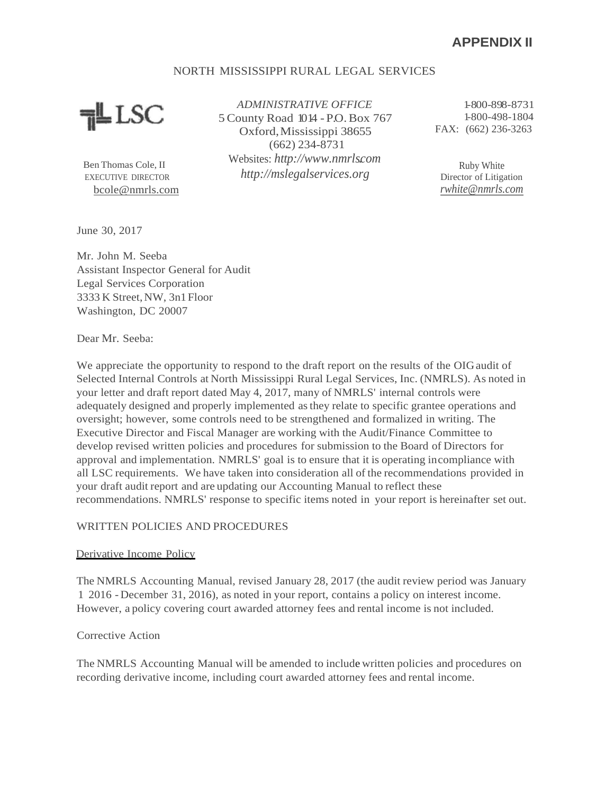#### NORTH MISSISSIPPI RURAL LEGAL SERVICES



Ben Thomas Cole, II EXECUTIVE DIRECTOR bcole@nmrls.com

*ADMINISTRATIVE OFFICE* 5County Road 1014 -P.O.Box 767 Oxford,Mississippi 38655 (662) 234-8731 Websites: *http://www.nmrls.com http://mslegalservices.org*

1-800-898-8731 1-800-498-1804 FAX: (662) 236-3263

Ruby White Director of Litigation *rwhite@nmrls.com*

June 30, 2017

Mr. John M. Seeba Assistant Inspector General for Audit Legal Services Corporation 3333 K Street,NW, 3n1Floor Washington, DC 20007

Dear Mr. Seeba:

We appreciate the opportunity to respond to the draft report on the results of the OIG audit of Selected Internal Controls at North Mississippi Rural Legal Services, Inc. (NMRLS). As noted in your letter and draft report dated May 4, 2017, many of NMRLS' internal controls were adequately designed and properly implemented asthey relate to specific grantee operations and oversight; however, some controls need to be strengthened and formalized in writing. The Executive Director and Fiscal Manager are working with the Audit/Finance Committee to develop revised written policies and procedures for submission to the Board of Directors for approval and implementation. NMRLS' goal is to ensure that it is operating incompliance with all LSC requirements. We have taken into consideration all of the recommendations provided in your draft audit report and are updating our Accounting Manual to reflect these recommendations. NMRLS' response to specific items noted in your report is hereinafter set out.

#### WRITTEN POLICIES AND PROCEDURES

#### Derivative Income Policy

The NMRLS Accounting Manual, revised January 28, 2017 (the audit review period was January 1 2016 - December 31, 2016), as noted in your report, contains a policy on interest income. However, a policy covering court awarded attorney fees and rental income is not included.

#### Corrective Action

The NMRLS Accounting Manual will be amended to include written policies and procedures on recording derivative income, including court awarded attorney fees and rental income.